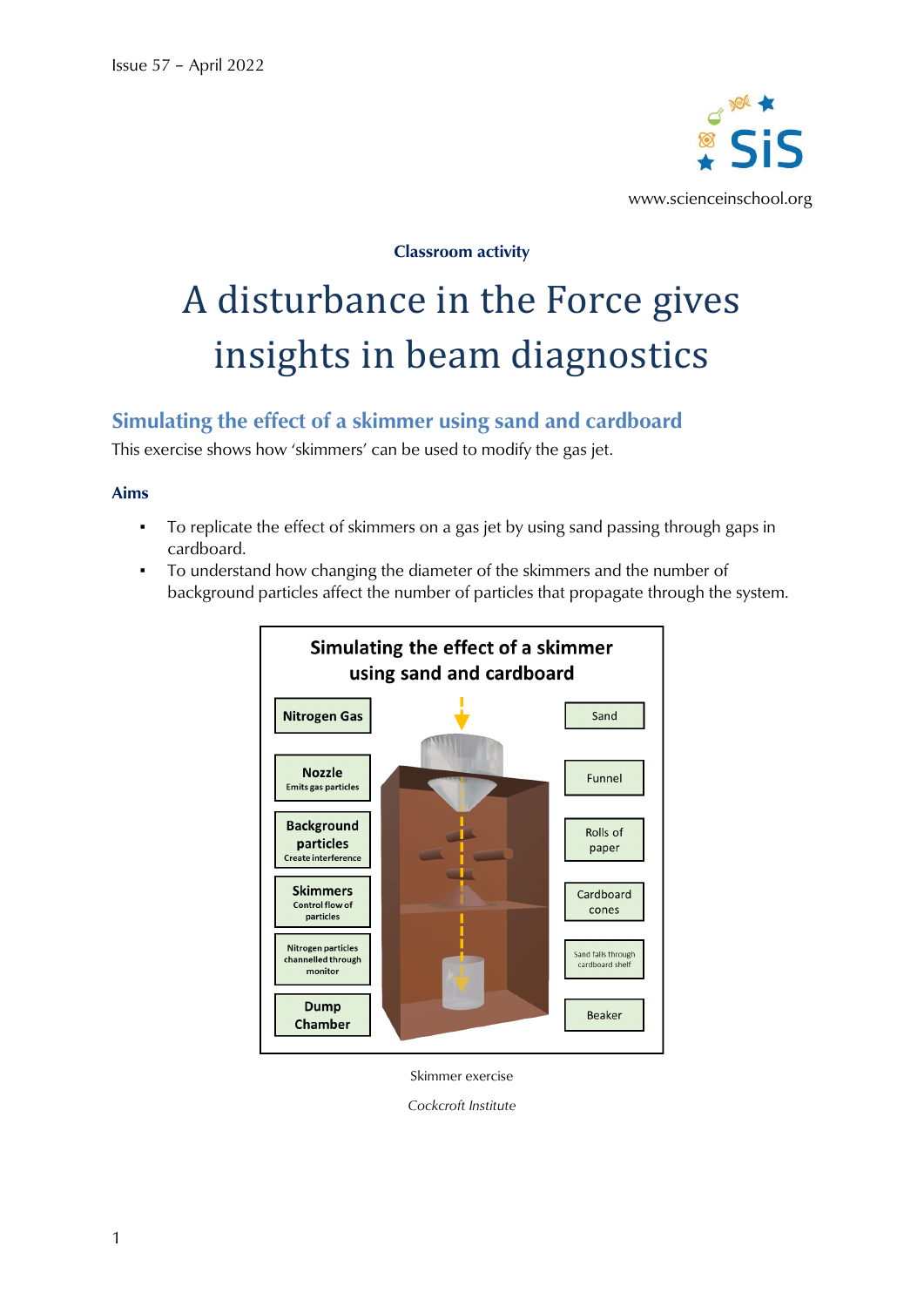

**Classroom activity**

# A disturbance in the Force gives insights in beam diagnostics

# **Simulating the effect of a skimmer using sand and cardboard**

This exercise shows how 'skimmers' can be used to modify the gas jet.

## **Aims**

- To replicate the effect of skimmers on a gas jet by using sand passing through gaps in cardboard.
- To understand how changing the diameter of the skimmers and the number of background particles affect the number of particles that propagate through the system.



Skimmer exercise

*Cockcroft Institute*